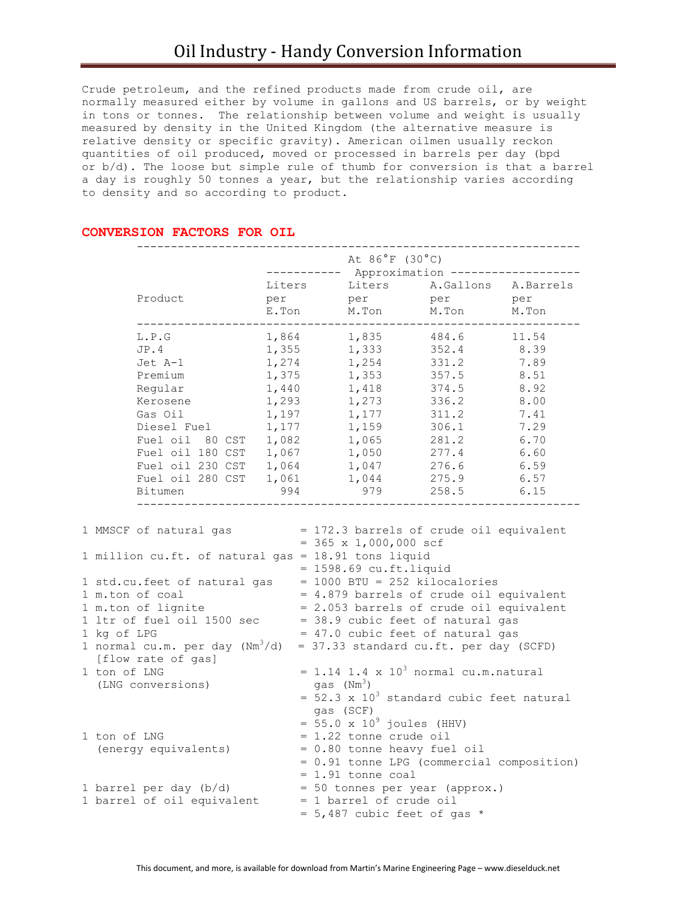Crude petroleum, and the refined products made from crude oil, are normally measured either by volume in gallons and US barrels, or by weight in tons or tonnes. The relationship between volume and weight is usually measured by density in the United Kingdom (the alternative measure is relative density or specific gravity). American oilmen usually reckon quantities of oil produced, moved or processed in barrels per day (bpd or b/d). The loose but simple rule of thumb for conversion is that a barrel a day is roughly 50 tonnes a year, but the relationship varies according to density and so according to product.

|                                                                |       | At $86^{\circ}$ F (30 °C)           |                                                                                      |      |
|----------------------------------------------------------------|-------|-------------------------------------|--------------------------------------------------------------------------------------|------|
|                                                                |       |                                     | Liters Liters A.Gallons A.Barrels                                                    |      |
| Product                                                        |       |                                     | per per per per per                                                                  |      |
|                                                                |       |                                     | E.Ton M.Ton M.Ton M.Ton                                                              |      |
| L.P.G                                                          |       |                                     | 1,864 1,835 484.6 11.54                                                              |      |
| JP.4                                                           |       |                                     | $1,355$ $1,333$ $352.4$ 8.39                                                         |      |
| Jet A-1                                                        |       | $1,274$ $1,254$                     | 331.2 7.89                                                                           |      |
| Premium                                                        |       | $1,375$ $1,353$                     | 357.5                                                                                | 8.51 |
| Regular                                                        | 1,440 | 1,418                               | 374.5                                                                                | 8.92 |
| Kerosene                                                       | 1,293 |                                     |                                                                                      | 8.00 |
| Gas Oil 1,197<br>Diesel Fuel 1,177                             |       |                                     |                                                                                      | 7.41 |
|                                                                |       |                                     | $1,418$<br>$374.5$<br>$1,273$<br>$336.2$<br>$1,177$<br>$311.2$<br>$1,159$<br>$306.1$ | 7.29 |
|                                                                |       |                                     | Fuel oil 80 CST 1,082 1,065 281.2 6.70                                               |      |
|                                                                |       |                                     | Fuel oil 180 CST 1,067 1,050 277.4 6.60                                              |      |
|                                                                |       |                                     | Fuel oil 230 CST 1,064 1,047 276.6 6.59                                              |      |
|                                                                |       |                                     | Fuel oil 280 CST 1,061 1,044 275.9 6.57                                              |      |
| Bitumen                                                        |       |                                     | 994 979 258.5 6.15                                                                   |      |
|                                                                |       |                                     |                                                                                      |      |
| 1 MMSCF of natural gas = 172.3 barrels of crude oil equivalent |       | $= 365 \times 1,000,000 \text{scf}$ |                                                                                      |      |
| 1 million cu.ft. of natural gas = 18.91 tons liquid            |       |                                     |                                                                                      |      |
|                                                                |       | $= 1598.69$ cu.ft.liquid            |                                                                                      |      |
| 1 std.cu.feet of natural gas = 1000 BTU = 252 kilocalories     |       |                                     |                                                                                      |      |
| 1 m.ton of coal                                                |       |                                     | = 4.879 barrels of crude oil equivalent                                              |      |
| 1 m.ton of lignite                                             |       |                                     | $= 2.053$ barrels of crude oil equivalent                                            |      |
| 1 ltr of fuel oil 1500 sec = 38.9 cubic feet of natural gas    |       |                                     |                                                                                      |      |
| 1 kg of LPG                                                    |       |                                     | = 47.0 cubic feet of natural gas                                                     |      |
| 1 normal cu.m. per day (Nm <sup>3</sup> /d)                    |       |                                     | = 37.33 standard cu.ft. per day (SCFD)                                               |      |
| [flow rate of gas]                                             |       |                                     |                                                                                      |      |
| 1 ton of LNG                                                   |       |                                     | $= 1.14$ 1.4 x 10 <sup>3</sup> normal cu.m.natural                                   |      |
| (LNG conversions)                                              |       | gas (Nm <sup>3</sup> )              |                                                                                      |      |
|                                                                |       |                                     | $= 52.3 \times 10^3$ standard cubic feet natural                                     |      |
|                                                                |       | gas (SCF)                           |                                                                                      |      |
|                                                                |       | $= 55.0 \times 10^{9}$ joules (HHV) |                                                                                      |      |
| 1 ton of LNG                                                   |       | $= 1.22$ tonne crude oil            |                                                                                      |      |

## **CONVERSION FACTORS FOR OIL**

|                            | $=$ 52.3 x 10 <sup>3</sup> standard cubic feet natural |
|----------------------------|--------------------------------------------------------|
|                            | gas (SCF)                                              |
|                            | $= 55.0 \times 10^{9}$ joules (HHV)                    |
| 1 ton of LNG               | $= 1.22$ tonne crude oil                               |
| (energy equivalents)       | $= 0.80$ tonne heavy fuel oil                          |
|                            | $= 0.91$ tonne LPG (commercial composition)            |
|                            | $= 1.91$ tonne coal                                    |
| 1 barrel per day $(b/d)$   | $= 50$ tonnes per year (approx.)                       |
| 1 barrel of oil equivalent | $= 1$ barrel of crude oil                              |
|                            | $= 5,487$ cubic feet of gas *                          |
|                            |                                                        |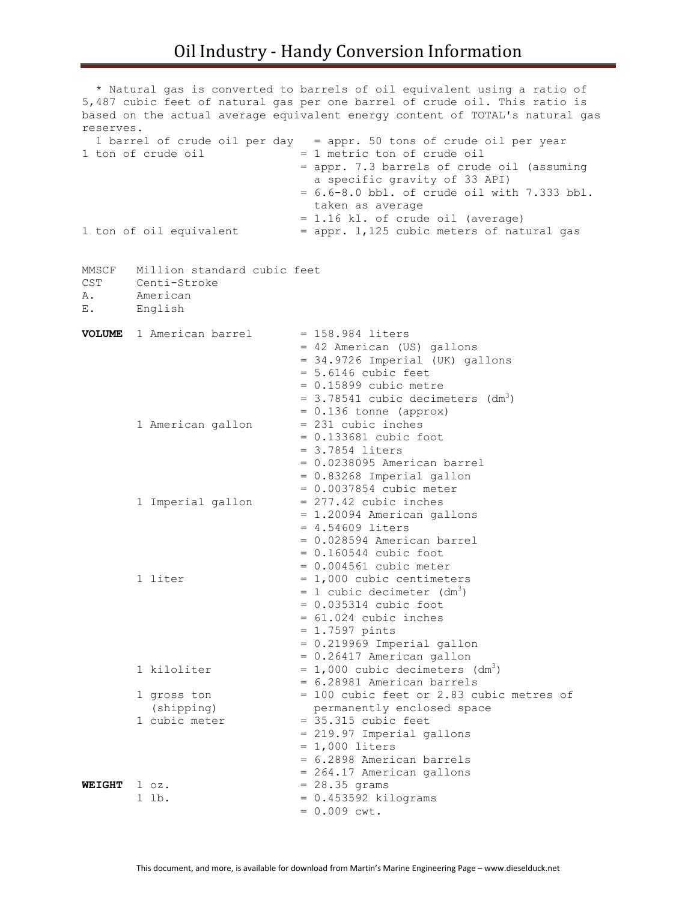\* Natural gas is converted to barrels of oil equivalent using a ratio of 5,487 cubic feet of natural gas per one barrel of crude oil. This ratio is based on the actual average equivalent energy content of TOTAL's natural gas reserves. 1 barrel of crude oil per day = appr. 50 tons of crude oil per year  $1$  ton of crude oil  $= 1$  metric ton of crude oil = appr. 7.3 barrels of crude oil (assuming a specific gravity of 33 API) = 6.6-8.0 bbl. of crude oil with 7.333 bbl. taken as average = 1.16 kl. of crude oil (average) 1 ton of oil equivalent = appr. 1,125 cubic meters of natural gas MMSCF Million standard cubic feet CST Centi-Stroke A. American E. English **VOLUME** 1 American barrel = 158.984 liters = 42 American (US) gallons = 34.9726 Imperial (UK) gallons  $= 5.6146$  cubic feet  $= 0.15899$  cubic metre  $= 3.78541$  cubic decimeters  $(dm<sup>3</sup>)$  $= 0.136$  tonne (approx)  $1$  American gallon = 231 cubic inches = 0.133681 cubic foot = 3.7854 liters = 0.0238095 American barrel = 0.83268 Imperial gallon = 0.0037854 cubic meter 1 Imperial gallon  $= 277.42$  cubic inches = 1.20094 American gallons  $= 4.54609$  liters = 0.028594 American barrel  $= 0.160544$  cubic foot = 0.004561 cubic meter  $1$  liter  $= 1,000$  cubic centimeters  $= 1$  cubic decimeter (dm<sup>3</sup>) = 0.035314 cubic foot = 61.024 cubic inches = 1.7597 pints = 0.219969 Imperial gallon = 0.26417 American gallon 1 kiloliter  $= 1,000$  cubic decimeters  $(dm<sup>3</sup>)$  = 6.28981 American barrels 1 gross ton = 100 cubic feet or 2.83 cubic metres of (shipping) permanently enclosed space  $1$  cubic meter  $= 35.315$  cubic feet = 219.97 Imperial gallons  $= 1,000$  liters = 6.2898 American barrels = 264.17 American gallons **WEIGHT**  $1 \text{ oz.}$  = 28.35 grams 1 lb. = 0.453592 kilograms  $= 0.009$  cwt.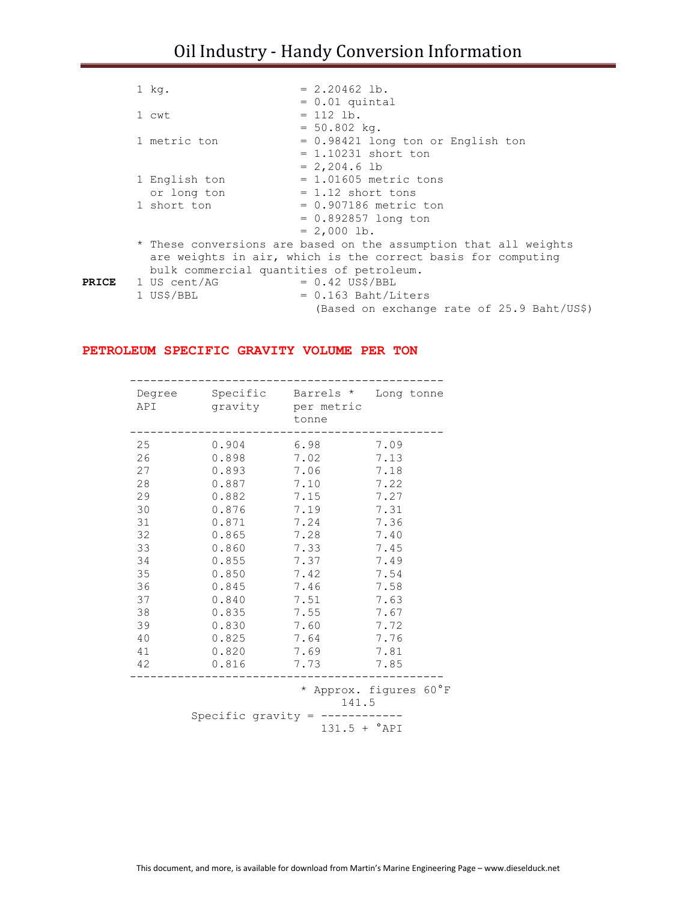# Oil Industry - Handy Conversion Information

|       | 1 kg.                                    | $= 2.20462$ lb.                                                  |
|-------|------------------------------------------|------------------------------------------------------------------|
|       |                                          | $= 0.01$ quintal                                                 |
|       | 1 cwt                                    | $= 112$ lb.                                                      |
|       |                                          | $= 50.802$ kg.                                                   |
|       | 1 metric ton                             | = 0.98421 long ton or English ton                                |
|       |                                          | $= 1.10231$ short ton                                            |
|       |                                          | $= 2,204.6$ lb                                                   |
|       | 1 English ton                            | $= 1.01605$ metric tons                                          |
|       | or long ton                              | $= 1.12$ short tons                                              |
|       | 1 short ton                              | $= 0.907186$ metric ton                                          |
|       |                                          | $= 0.892857$ long ton                                            |
|       |                                          | $= 2,000$ lb.                                                    |
|       |                                          | * These conversions are based on the assumption that all weights |
|       |                                          | are weights in air, which is the correct basis for computing     |
|       | bulk commercial quantities of petroleum. |                                                                  |
| PRICE | 1 US cent/AG                             | $= 0.42$ US\$/BBL                                                |
|       | 1 US\$/BBL                               | $= 0.163$ Baht/Liters                                            |
|       |                                          | (Based on exchange rate of 25.9 Baht/US\$)                       |

## **PETROLEUM SPECIFIC GRAVITY VOLUME PER TON**

| Degree<br>API | Specific<br>gravity | Barrels *<br>per metric<br>tonne | Long tonne |
|---------------|---------------------|----------------------------------|------------|
| 25            | 0.904               | 6.98                             | 7.09       |
| 26            | 0.898               | 7.02                             | 7.13       |
| 27            | 0.893               | 7.06                             | 7.18       |
| 28            | 0.887               | 7.10                             | 7.22       |
| 29            | 0.882               | 7.15                             | 7.27       |
| 30            | 0.876               | 7.19                             | 7.31       |
| 31            | 0.871               | 7.24                             | 7.36       |
| 32            | 0.865               | 7.28                             | 7.40       |
| 33            | 0.860               | 7.33                             | 7.45       |
| 34            | 0.855               | 7.37                             | 7.49       |
| 35            | 0.850               | 7.42                             | 7.54       |
| 36            | 0.845               | 7.46                             | 7.58       |
| 37            | 0.840               | 7.51                             | 7.63       |
| 38            | 0.835               | 7.55                             | 7.67       |
| 39            | 0.830               | 7.60                             | 7.72       |
| 40            | 0.825               | 7.64                             | 7.76       |
| 41            | 0.820               | 7.69                             | 7.81       |
| 42            | 0.816               | 7.73                             | 7.85       |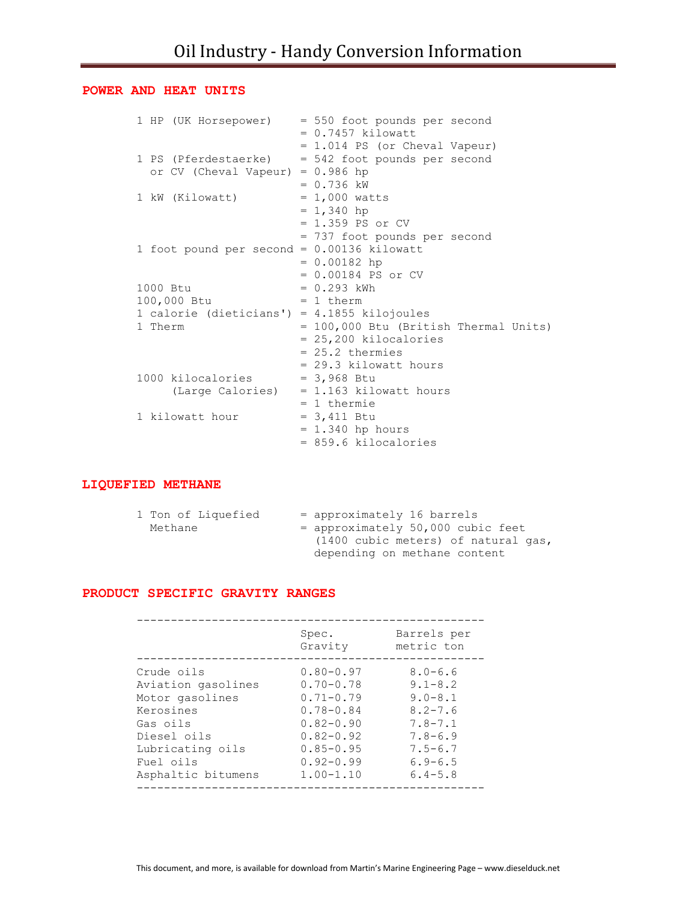## **POWER AND HEAT UNITS**

| 1 HP (UK Horsepower) | = 550 foot pounds per second                                                                                                                                                  |
|----------------------|-------------------------------------------------------------------------------------------------------------------------------------------------------------------------------|
|                      | $= 0.7457$ kilowatt                                                                                                                                                           |
|                      | = 1.014 PS (or Cheval Vapeur)                                                                                                                                                 |
|                      | = 542 foot pounds per second                                                                                                                                                  |
|                      |                                                                                                                                                                               |
|                      | $= 0.736$ kW                                                                                                                                                                  |
| 1 kW (Kilowatt)      | $= 1,000 \text{ watts}$                                                                                                                                                       |
|                      | $= 1,340$ hp                                                                                                                                                                  |
|                      | $= 1.359$ PS or CV                                                                                                                                                            |
|                      | = 737 foot pounds per second                                                                                                                                                  |
|                      |                                                                                                                                                                               |
|                      | $= 0.00182$ hp                                                                                                                                                                |
|                      | $= 0.00184$ PS or CV                                                                                                                                                          |
| 1000 Btu             | $= 0.293$ kWh                                                                                                                                                                 |
| 100,000 Btu          | $= 1$ therm                                                                                                                                                                   |
|                      |                                                                                                                                                                               |
| 1 Therm              | = 100,000 Btu (British Thermal Units)                                                                                                                                         |
|                      | $= 25,200$ kilocalories                                                                                                                                                       |
|                      | $= 25.2$ thermies                                                                                                                                                             |
|                      | = 29.3 kilowatt hours                                                                                                                                                         |
| 1000 kilocalories    | $= 3,968$ Btu                                                                                                                                                                 |
|                      | $= 1.163$ kilowatt hours                                                                                                                                                      |
|                      | $= 1$ thermie                                                                                                                                                                 |
| 1 kilowatt hour      | $= 3,411$ Btu                                                                                                                                                                 |
|                      | $= 1.340$ hp hours                                                                                                                                                            |
|                      | $= 859.6$ kilocalories                                                                                                                                                        |
|                      | 1 PS (Pferdestaerke)<br>or CV (Cheval Vapeur) = $0.986$ hp<br>1 foot pound per second = 0.00136 kilowatt<br>1 calorie (dieticians') = $4.1855$ kilojoules<br>(Large Calories) |

## **LIQUEFIED METHANE**

| 1 Ton of Liquefied | $=$ approximately 16 barrels        |
|--------------------|-------------------------------------|
| Methane            | $=$ approximately 50,000 cubic feet |
|                    | (1400 cubic meters) of natural gas, |
|                    | depending on methane content        |

## **PRODUCT SPECIFIC GRAVITY RANGES**

|                    | Spec.<br>Gravity | Barrels per<br>metric ton |
|--------------------|------------------|---------------------------|
| Crude oils         | $0.80 - 0.97$    | $8.0 - 6.6$               |
| Aviation gasolines | $0.70 - 0.78$    | $9.1 - 8.2$               |
| Motor gasolines    | $0.71 - 0.79$    | $9.0 - 8.1$               |
| Kerosines          | $0.78 - 0.84$    | $8.2 - 7.6$               |
| Gas oils           | $0.82 - 0.90$    | $7.8 - 7.1$               |
| Diesel oils        | $0.82 - 0.92$    | $7.8 - 6.9$               |
| Lubricating oils   | $0.85 - 0.95$    | $7.5 - 6.7$               |
| Fuel oils          | $0.92 - 0.99$    | $6.9 - 6.5$               |
| Asphaltic bitumens | $1.00 - 1.10$    | $6.4 - 5.8$               |
|                    |                  |                           |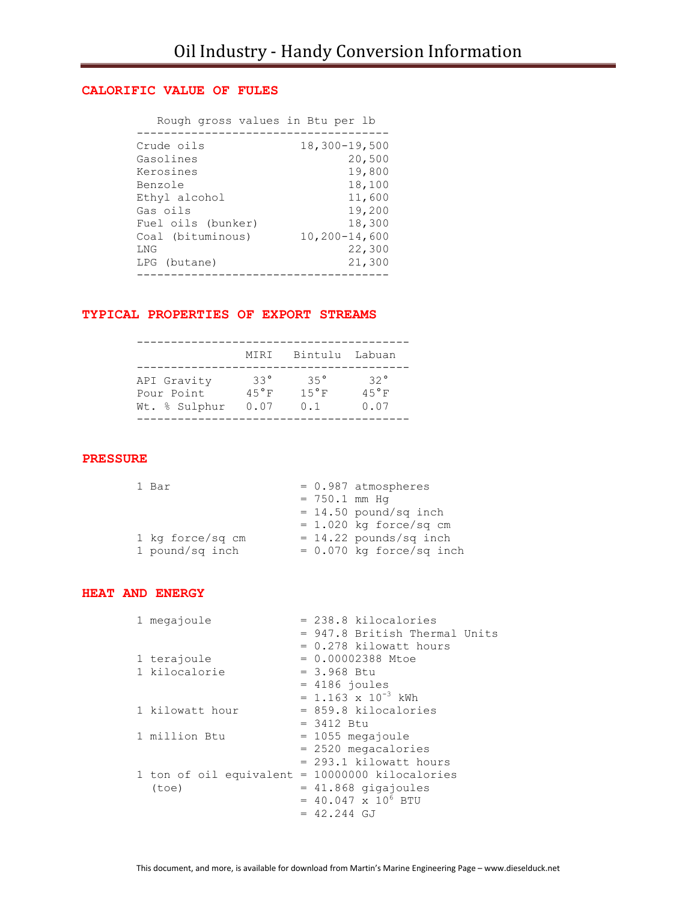## **CALORIFIC VALUE OF FULES**

| Rough gross values in Btu per 1b |                     |
|----------------------------------|---------------------|
|                                  |                     |
| Crude oils                       | $18,300 - 19,500$   |
| Gasolines                        | 20,500              |
| Kerosines                        | 19,800              |
| Benzole                          | 18,100              |
| Ethyl alcohol                    | 11,600              |
| Gas oils                         | 19,200              |
| Fuel oils (bunker)               | 18,300              |
| Coal (bituminous)                | $10, 200 - 14, 600$ |
| LNG                              | 22,300              |
| LPG (butane)                     | 21,300              |
|                                  |                     |

## **TYPICAL PROPERTIES OF EXPORT STREAMS**

|               | MTRT           | Bintulu Labuan |                |
|---------------|----------------|----------------|----------------|
| API Gravity   | 33°            | $35^\circ$     | $32^{\circ}$   |
| Pour Point    | $45^{\circ}$ F | $15^{\circ}$ F | $45^{\circ}$ F |
| Wt. % Sulphur | 0.07           | 0.1            | 0.07           |

#### **PRESSURE**

| 1 Bar            |                 | $= 0.987$ atmospheres      |
|------------------|-----------------|----------------------------|
|                  | $= 750.1$ mm Hq |                            |
|                  |                 | $= 14.50$ pound/sq inch    |
|                  |                 | $= 1.020$ kg force/sq cm   |
| 1 kg force/sq cm |                 | $= 14.22$ pounds/sq inch   |
| 1 pound/sq inch  |                 | $= 0.070$ kg force/sq inch |

#### **HEAT AND ENERGY**

| 1 megajoule                                     | $= 238.8$ kilocalories        |
|-------------------------------------------------|-------------------------------|
|                                                 | = 947.8 British Thermal Units |
|                                                 | $= 0.278$ kilowatt hours      |
| 1 terajoule                                     | $= 0.00002388$ Mtoe           |
| 1 kilocalorie                                   | $= 3.968$ Btu                 |
|                                                 | $= 4186$ joules               |
|                                                 | $= 1.163 \times 10^{-3}$ kWh  |
| 1 kilowatt hour                                 | $= 859.8$ kilocalories        |
|                                                 | $= 3412$ Btu                  |
| 1 million Btu                                   | $= 1055$ megajoule            |
|                                                 | $= 2520$ megacalories         |
|                                                 | $= 293.1$ kilowatt hours      |
| 1 ton of oil equivalent = 10000000 kilocalories |                               |
| (toe)                                           | $= 41.868$ gigajoules         |
|                                                 | $= 40.047 \times 10^6$ BTU    |
|                                                 | $= 42.244$ GJ                 |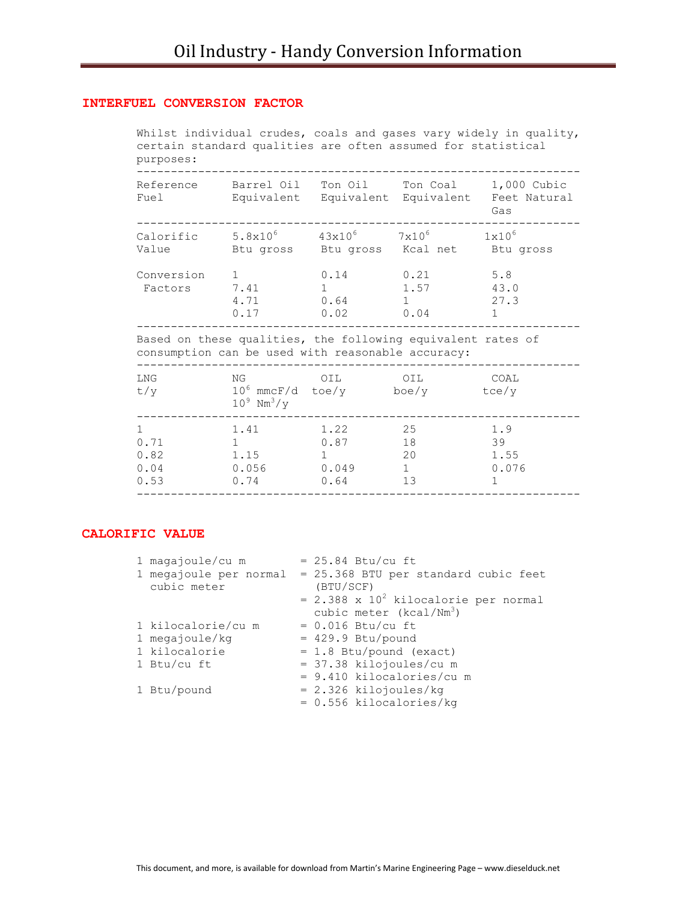## **INTERFUEL CONVERSION FACTOR**

Whilst individual crudes, coals and gases vary widely in quality, certain standard qualities are often assumed for statistical purposes:

| Reference<br>Fuel     |                                                             | Barrel Oil Ton Oil<br>Equivalent Equivalent Equivalent Feet Natural |                                                | Ton Coal 1,000 Cubic<br>Gas         |
|-----------------------|-------------------------------------------------------------|---------------------------------------------------------------------|------------------------------------------------|-------------------------------------|
| Calorific<br>Value    | $5.8x10^{6}$                                                | $43x10^6$<br>Btu gross Btu gross Kcal net                           | $7\times10^6$                                  | $1x10^6$<br>Btu gross               |
| Conversion<br>Factors | $1 \quad \Box$<br>7.41<br>4.71<br>0.17                      | 0.14<br>$1 \quad \blacksquare$<br>0.64<br>0.02                      | 0.21<br>1.57<br>$1 \quad \blacksquare$<br>0.04 | 5.8<br>43.0<br>27.3<br>$\mathbf{1}$ |
|                       | Based on these qualities, the following equivalent rates of |                                                                     |                                                |                                     |
|                       | consumption can be used with reasonable accuracy:           |                                                                     |                                                |                                     |
| LNG<br>t/y            | NG<br>$10^9$ Nm <sup>3</sup> /y                             | OIL<br>$10^6$ mmcF/d toe/y boe/y tce/y                              | OIL                                            | COAL                                |

## **CALORIFIC VALUE**

| $= 25.84$ Btu/cu ft                          |
|----------------------------------------------|
| = 25.368 BTU per standard cubic feet         |
| (BTU/SCF)                                    |
| $= 2.388 \times 10^2$ kilocalorie per normal |
| cubic meter ( $kcal/Mm^3$ )                  |
| $= 0.016$ Btu/cu ft                          |
| $= 429.9$ Btu/pound                          |
| $= 1.8$ Btu/pound (exact)                    |
| $= 37.38$ kilojoules/cu m                    |
| $= 9.410$ kilocalories/cu m                  |
| $= 2.326$ kilojoules/kg                      |
| $= 0.556$ kilocalories/kq                    |
|                                              |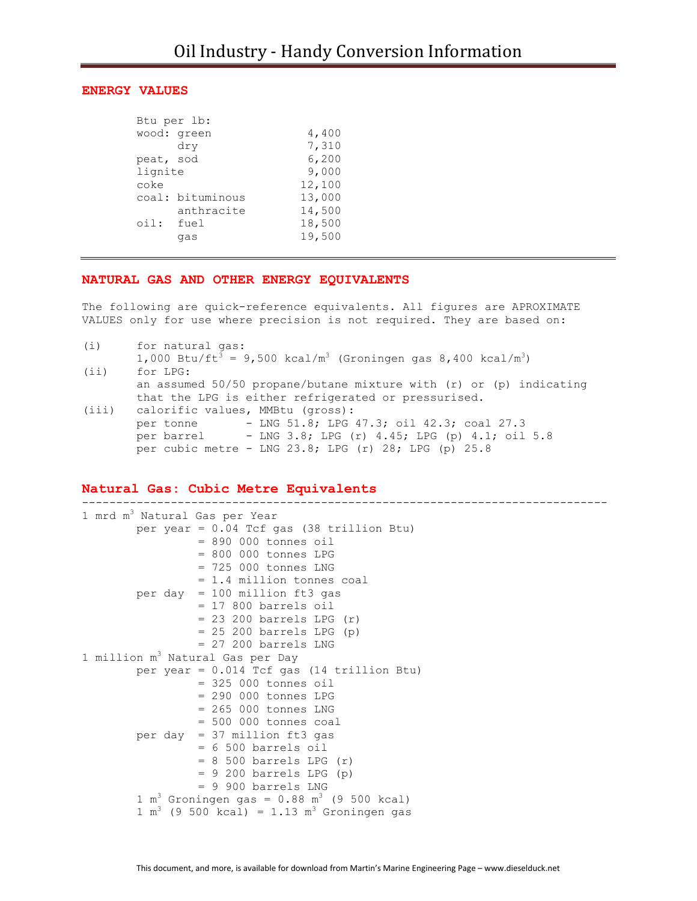#### **ENERGY VALUES**

| Btu per lb: |                  |        |
|-------------|------------------|--------|
|             | wood: green      | 4,400  |
|             | dry              | 7,310  |
| peat, sod   |                  | 6,200  |
| lignite     |                  | 9,000  |
| coke        |                  | 12,100 |
|             | coal: bituminous | 13,000 |
|             | anthracite       | 14,500 |
| oil: fuel   |                  | 18,500 |
|             | qas              | 19,500 |
|             |                  |        |

#### **NATURAL GAS AND OTHER ENERGY EQUIVALENTS**

The following are quick-reference equivalents. All figures are APROXIMATE VALUES only for use where precision is not required. They are based on:

| (i)   | for natural gas:                                                                                 |
|-------|--------------------------------------------------------------------------------------------------|
|       | 1,000 Btu/ft <sup>3</sup> = 9,500 kcal/m <sup>3</sup> (Groningen gas 8,400 kcal/m <sup>3</sup> ) |
| (i)   | for LPG:                                                                                         |
|       | an assumed $50/50$ propane/butane mixture with (r) or (p) indicating                             |
|       | that the LPG is either refrigerated or pressurised.                                              |
| (iii) | calorific values, MMBtu (gross):                                                                 |
|       | - LNG 51.8; LPG 47.3; oil 42.3; coal 27.3<br>per tonne                                           |
|       | per barrel $-$ LNG 3.8; LPG (r) 4.45; LPG (p) 4.1; oil 5.8                                       |
|       | per cubic metre - LNG 23.8; LPG (r) 28; LPG (p) 25.8                                             |

-----------------------------------------------------------------------------

## **Natural Gas: Cubic Metre Equivalents**

```
1 mrd m3 Natural Gas per Year 
         per year = 0.04 Tcf gas (38 trillion Btu) 
                   = 890 000 tonnes oil 
                   = 800 000 tonnes LPG 
                  = 725 000 tonnes LNG
                   = 1.4 million tonnes coal 
         per day = 100 million ft3 gas 
                   = 17 800 barrels oil 
                  = 23 200 barrels LPG (r)
                  = 25 200 barrels LPG (p)
                   = 27 200 barrels LNG 
1 million m3 Natural Gas per Day 
         per year = 0.014 Tcf gas (14 trillion Btu) 
                   = 325 000 tonnes oil 
                   = 290 000 tonnes LPG 
                  = 265 000 tonnes LNG
                   = 500 000 tonnes coal 
         per day = 37 million ft3 gas 
                   = 6 500 barrels oil 
                  = 8 500 barrels LPG (r)
                   = 9 200 barrels LPG (p) 
                   = 9 900 barrels LNG 
        1 \text{ m}^3 Groningen gas = 0.88 m<sup>3</sup> (9 500 kcal)
        1 m^3 (9 500 kcal) = 1.13 m^3 Groningen gas
```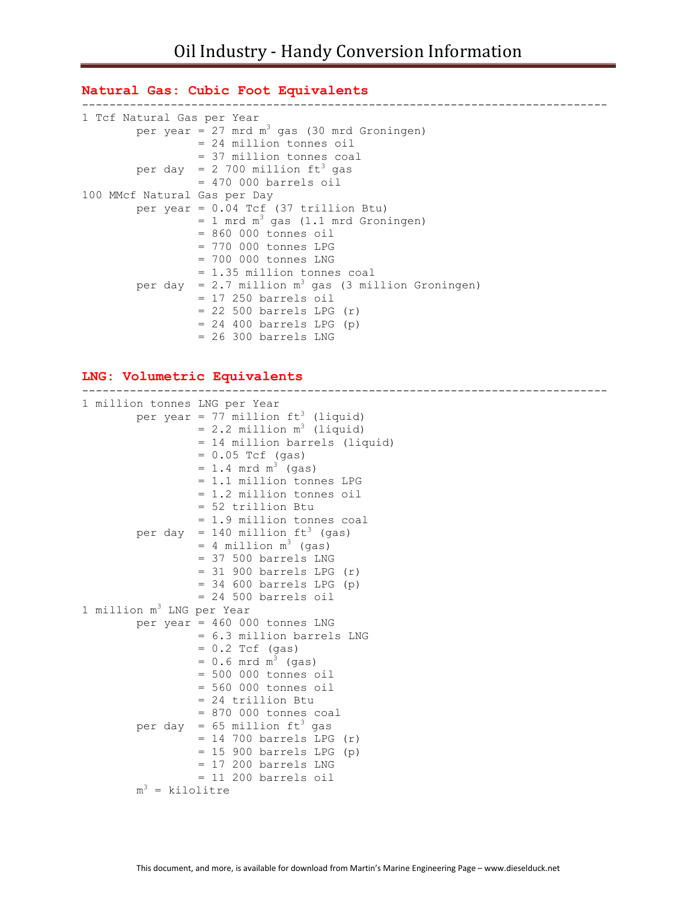```
Natural Gas: Cubic Foot Equivalents 
----------------------------------------------------------------------------- 
1 Tcf Natural Gas per Year 
        per year = 27 \text{ mrd } m^3 gas (30 mrd Groningen)
                   = 24 million tonnes oil 
                   = 37 million tonnes coal 
        per day = 2 700 million ft^3 gas
                   = 470 000 barrels oil 
100 MMcf Natural Gas per Day 
         per year = 0.04 Tcf (37 trillion Btu) 
                  = 1 mrd m<sup>3</sup> gas (1.1 mrd Groningen)
                   = 860 000 tonnes oil 
                  = 770 000 tonnes LPG
                   = 700 000 tonnes LNG 
                   = 1.35 million tonnes coal 
        per day = 2.7 million m^3 gas (3 million Groningen)
                   = 17 250 barrels oil 
                  = 22 500 barrels LPG (r)
                  = 24 400 barrels LPG (p)
                   = 26 300 barrels LNG
```
**LNG: Volumetric Equivalents** 

```
----------------------------------------------------------------------------- 
1 million tonnes LNG per Year 
        per year = 77 million ft^3 (liquid)
                  = 2.2 million m<sup>3</sup> (liquid)
                   = 14 million barrels (liquid) 
                  = 0.05 Tcf (gas)
                  = 1.4 mrd m<sup>3</sup> (gas)
                   = 1.1 million tonnes LPG 
                   = 1.2 million tonnes oil 
                   = 52 trillion Btu 
                   = 1.9 million tonnes coal 
        per day = 140 million ft^3 (gas)
                  = 4 million m^3 (gas)
                   = 37 500 barrels LNG 
                  = 31 900 barrels LPG (r)
                  = 34 600 barrels LPG (p)
                   = 24 500 barrels oil 
1 million m3 LNG per Year 
         per year = 460 000 tonnes LNG 
                   = 6.3 million barrels LNG 
                  = 0.2 Tcf (gas)
                  = 0.6 mrd m<sup>3</sup> (gas)
                   = 500 000 tonnes oil 
                   = 560 000 tonnes oil 
                   = 24 trillion Btu 
                   = 870 000 tonnes coal 
        per day = 65 million ft^3 gas
                  = 14 700 barrels LPG (r)
                  = 15 900 barrels LPG (p)
                   = 17 200 barrels LNG 
                   = 11 200 barrels oil 
        m<sup>3</sup> = kilolitre
```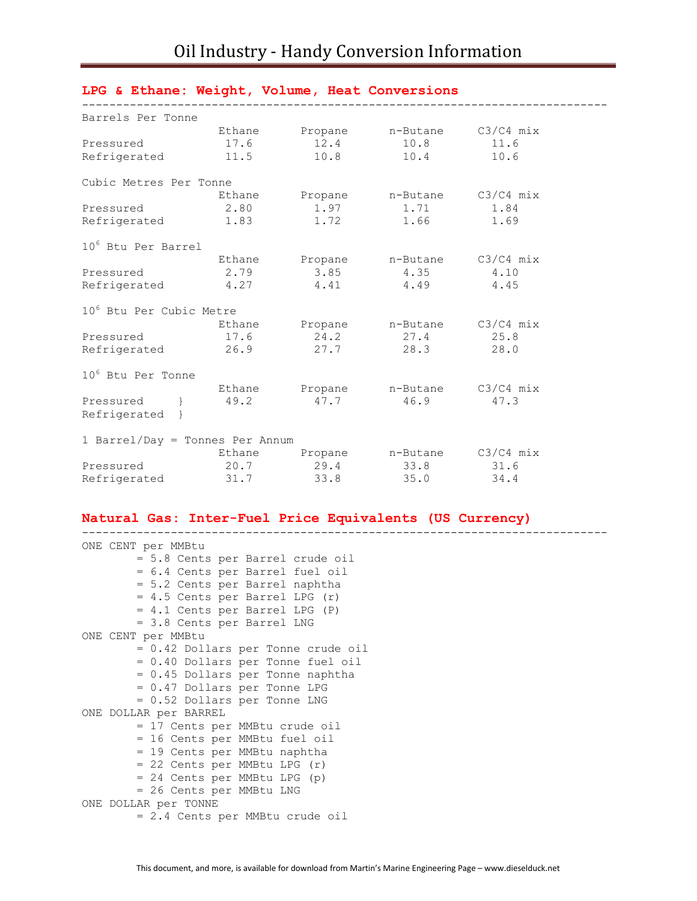| Barrels Per Tonne                   |        |           |                                   |      |
|-------------------------------------|--------|-----------|-----------------------------------|------|
|                                     |        |           | Ethane Propane n-Butane C3/C4 mix |      |
| Pressured                           | 17.6   | 12.4      | 10.8                              | 11.6 |
| Refrigerated                        | 11.5   | 10.8      | 10.4                              | 10.6 |
| Cubic Metres Per Tonne              |        |           |                                   |      |
|                                     | Ethane |           | Propane n-Butane C3/C4 mix        |      |
| Pressured                           | 2.80   |           | 1.97 1.71 1.84                    |      |
| Refrigerated 1.83                   |        | 1.72      | 1.66                              | 1.69 |
| 10 <sup>6</sup> Btu Per Barrel      |        |           |                                   |      |
|                                     | Ethane |           | Propane n-Butane C3/C4 mix        |      |
| Pressured                           | 2.79   | 3.85      | 4.35                              | 4.10 |
| Refrigerated                        | 4.27   | 4.41      | 4.49                              | 4.45 |
| 10 <sup>6</sup> Btu Per Cubic Metre |        |           |                                   |      |
|                                     |        |           | Ethane Propane n-Butane C3/C4 mix |      |
| Pressured                           | 17.6   | 24.2 27.4 |                                   | 25.8 |
| Refrigerated                        | 26.9   |           | 27.7 28.3                         | 28.0 |
| 10 <sup>6</sup> Btu Per Tonne       |        |           |                                   |      |
|                                     |        |           | Ethane Propane n-Butane C3/C4 mix |      |
| Pressured } 49.2<br>Refrigerated }  |        | 47.7      | 46.9                              | 47.3 |
| 1 Barrel/Day = Tonnes Per Annum     |        |           |                                   |      |
|                                     |        |           | Ethane Propane n-Butane C3/C4 mix |      |
| Pressured                           |        |           | $20.7$ $29.4$ $33.8$              | 31.6 |
| Refrigerated                        | 31.7   | 33.8      | 35.0                              | 34.4 |

#### **LPG & Ethane: Weight, Volume, Heat Conversions**

#### **Natural Gas: Inter-Fuel Price Equivalents (US Currency)**

```
----------------------------------------------------------------------------- 
ONE CENT per MMBtu 
         = 5.8 Cents per Barrel crude oil 
         = 6.4 Cents per Barrel fuel oil 
         = 5.2 Cents per Barrel naphtha 
         = 4.5 Cents per Barrel LPG (r) 
         = 4.1 Cents per Barrel LPG (P) 
        = 3.8 Cents per Barrel LNG 
ONE CENT per MMBtu 
         = 0.42 Dollars per Tonne crude oil 
         = 0.40 Dollars per Tonne fuel oil 
         = 0.45 Dollars per Tonne naphtha 
         = 0.47 Dollars per Tonne LPG 
         = 0.52 Dollars per Tonne LNG 
ONE DOLLAR per BARREL 
         = 17 Cents per MMBtu crude oil 
         = 16 Cents per MMBtu fuel oil 
         = 19 Cents per MMBtu naphtha 
         = 22 Cents per MMBtu LPG (r) 
         = 24 Cents per MMBtu LPG (p) 
        = 26 Cents per MMBtu LNG 
ONE DOLLAR per TONNE 
         = 2.4 Cents per MMBtu crude oil
```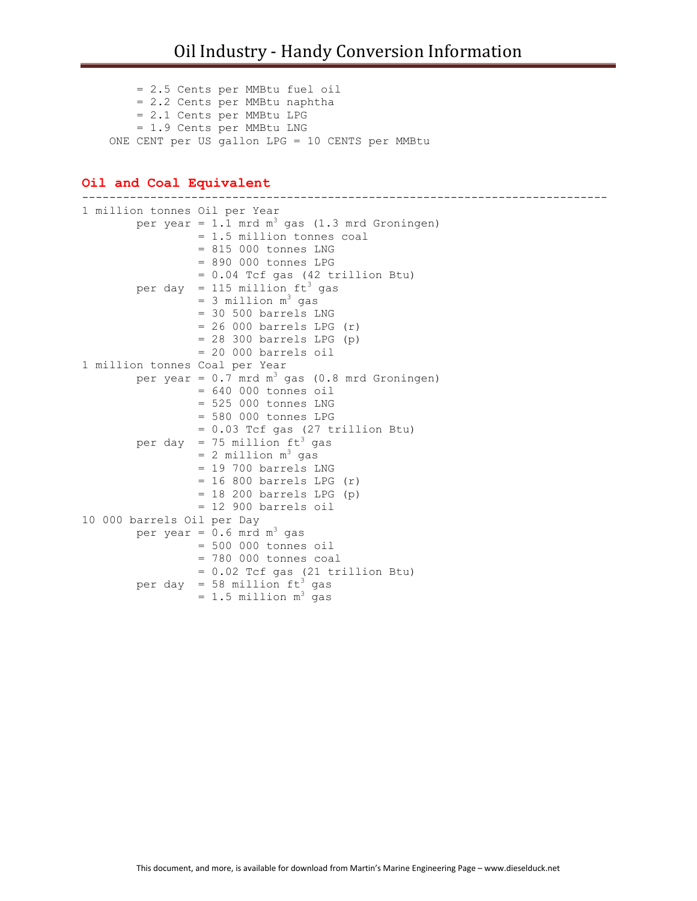```
 = 2.5 Cents per MMBtu fuel oil 
     = 2.2 Cents per MMBtu naphtha 
     = 2.1 Cents per MMBtu LPG 
     = 1.9 Cents per MMBtu LNG 
 ONE CENT per US gallon LPG = 10 CENTS per MMBtu
```
## **Oil and Coal Equivalent**

```
----------------------------------------------------------------------------- 
1 million tonnes Oil per Year 
        per year = 1.1 mrd m<sup>3</sup> gas (1.3 mrd Groningen)
                   = 1.5 million tonnes coal 
                   = 815 000 tonnes LNG 
                   = 890 000 tonnes LPG 
                   = 0.04 Tcf gas (42 trillion Btu) 
        per day = 115 million ft^3 gas
                  = 3 million m<sup>3</sup> gas
                   = 30 500 barrels LNG 
                  = 26 000 barrels LPG (r)
                  = 28 300 barrels LPG (p)
                   = 20 000 barrels oil 
1 million tonnes Coal per Year 
        per year = 0.7 mrd m^3 gas (0.8 mrd Groningen)
                   = 640 000 tonnes oil 
                   = 525 000 tonnes LNG 
                   = 580 000 tonnes LPG 
                   = 0.03 Tcf gas (27 trillion Btu) 
        per day = 75 million ft^3 gas
                  = 2 million m<sup>3</sup> gas
                   = 19 700 barrels LNG 
                  = 16 800 barrels LPG (r)
                  = 18 200 barrels LPG (p)
                   = 12 900 barrels oil 
10 000 barrels Oil per Day 
        per year = 0.6 mrd m<sup>3</sup> gas
                   = 500 000 tonnes oil 
                   = 780 000 tonnes coal 
                   = 0.02 Tcf gas (21 trillion Btu) 
        per day = 58 million ft^3 gas
                  = 1.5 million m<sup>3</sup> gas
```